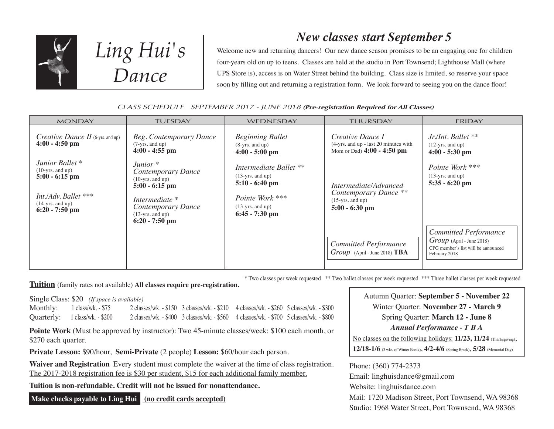

*Ling Hui's Dance*

### *New classes start September 5*

Welcome new and returning dancers! Our new dance season promises to be an engaging one for children four-years old on up to teens. Classes are held at the studio in Port Townsend; Lighthouse Mall (where UPS Store is), access is on Water Street behind the building. Class size is limited, so reserve your space soon by filling out and returning a registration form. We look forward to seeing you on the dance floor!

#### CLASS SCHEDULE SEPTEMBER 2017 - JUNE 2018 **(Pre-registration Required for All Classes)**

| <b>MONDAY</b>                                                                                                                                 | <b>TUESDAY</b>                                                                                                                                                 | WEDNESDAY                                                                                                                     | <b>THURSDAY</b>                                                                          | <b>FRIDAY</b>                                                                                                       |
|-----------------------------------------------------------------------------------------------------------------------------------------------|----------------------------------------------------------------------------------------------------------------------------------------------------------------|-------------------------------------------------------------------------------------------------------------------------------|------------------------------------------------------------------------------------------|---------------------------------------------------------------------------------------------------------------------|
| <i>Creative Dance II</i> (6-yrs. and up)<br>$4:00 - 4:50$ pm                                                                                  | Beg. Contemporary Dance<br>$(7-yrs.$ and up)<br>$4:00 - 4:55$ pm                                                                                               | <b>Beginning Ballet</b><br>$(8 - yrs.$ and up)<br>$4:00 - 5:00$ pm                                                            | Creative Dance I<br>(4-yrs. and up - last 20 minutes with<br>Mom or Dad) 4:00 - 4:50 pm  | Jr./Int. Ballet **<br>$(12 - yrs.$ and up)<br>$4:00 - 5:30$ pm                                                      |
| Junior Ballet <sup>*</sup><br>$(10\text{-yrs.}$ and up)<br>$5:00 - 6:15$ pm<br>Int./Adv. Ballet ***<br>$(14-yrs. and up)$<br>$6:20 - 7:50$ pm | Junior $*$<br>Contemporary Dance<br>$(10 - yrs.$ and up)<br>$5:00 - 6:15$ pm<br>Intermediate *<br>Contemporary Dance<br>$(13-yrs.$ and up)<br>$6:20 - 7:50$ pm | Intermediate Ballet **<br>$(13-yrs. and up)$<br>$5:10 - 6:40$ pm<br>Pointe Work ***<br>$(13-yrs. and up)$<br>$6:45 - 7:30$ pm | Intermediate/Advanced<br>Contemporary Dance **<br>$(15-yrs.$ and up)<br>$5:00 - 6:30$ pm | Pointe Work ***<br>$(13-yrs.$ and up)<br>$5:35 - 6:20$ pm                                                           |
|                                                                                                                                               |                                                                                                                                                                |                                                                                                                               | <b>Committed Performance</b><br>Group (April - June 2018) TBA                            | <b>Committed Performance</b><br>$Group$ (April - June 2018)<br>CPG member's list will be announced<br>February 2018 |

\* Two classes per week requested \*\* Two ballet classes per week requested \*\*\* Three ballet classes per week requested

**Tuition** (family rates not available) **All classes require pre-registration.**

Single Class: \$20 *(If space is available)*

| Monthly: $1 \text{ class/wk.} - $75$ | 2 classes/wk. - \$150 3 classes/wk. - \$210 4 classes/wk. - \$260 5 classes/wk. - \$300 |  |
|--------------------------------------|-----------------------------------------------------------------------------------------|--|
| Quarterly: 1 class/wk. - \$200       | 2 classes/wk. - \$400 3 classes/wk. - \$560 4 classes/wk. - \$700 5 classes/wk. - \$800 |  |

**Pointe Work** (Must be approved by instructor): Two 45-minute classes/week: \$100 each month, or \$270 each quarter.

**Private Lesson:** \$90/hour, **Semi-Private** (2 people) **Lesson:** \$60/hour each person.

**Waiver and Registration** Every student must complete the waiver at the time of class registration. The 2017-2018 registration fee is \$30 per student, \$15 for each additional family member.

**Tuition is non-refundable. Credit will not be issued for nonattendance.**

 **Make checks payable to Ling Hui (no credit cards accepted)**

Autumn Quarter: **September 5 - November 22** Winter Quarter: **November 27 - March 9** Spring Quarter: **March 12 - June 8** *Annual Performance - T B A* No classes on the following holidays: **11/23, 11/24** (Thanksgiving), **12/18-1/6** (3 wks. of Winter Break), **4/2-4/6** (Spring Break), **5/28** (Memorial Day)

Phone: (360) 774-2373 Email: linghuisdance@gmail.com Website: linghuisdance.com Mail: 1720 Madison Street, Port Townsend, WA 98368 Studio: 1968 Water Street, Port Townsend, WA 98368